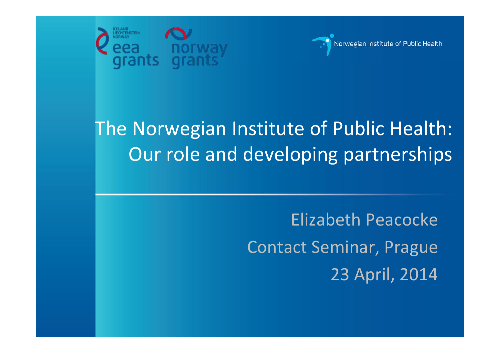



#### The Norwegian Institute of Public Health: Our role and developing partnerships

Elizabeth Peacocke Contact Seminar, Prague 23 April, 2014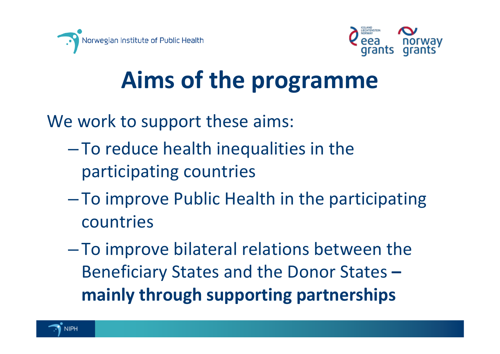



# **Aims of the programme**

We work to support these aims:

- $-$  To reduce health inequalities in the participating countries
- $\mathcal{L}_{\mathcal{A}}$  , and the set of  $\mathcal{L}_{\mathcal{A}}$  To improve Public Health in the participating countries
- To improve bilateral relations between the Beneficiary States and the Donor States **– mainly through supporting partnerships**

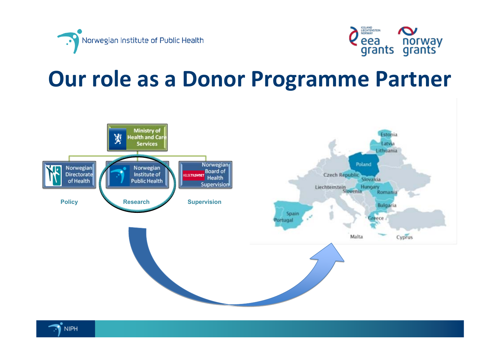



#### **Our role as <sup>a</sup> Donor Programme Partner**



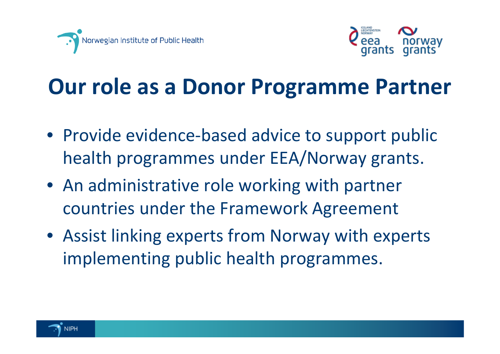



#### **Our role as <sup>a</sup> Donor Programme Partner**

- Provide evidence-based advice to support public health programmes under EEA/Norway grants.
- An administrative role working with partner countries under the Framework Agreement
- Assist linking experts from Norway with experts implementing public health programmes.

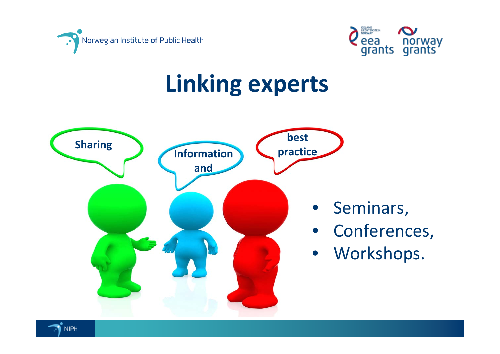



### **Linking experts**



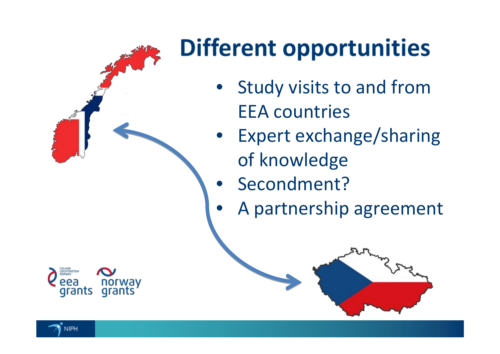

# **Different opportunities**

- • Study visits to and from EEA countries
- • Expert exchange/sharing of knowledge
	- Secondment?

 $\bullet$ 

•

A partnership agreement



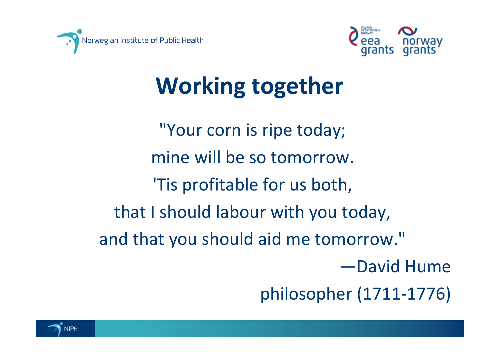



## **Working together**

"Your corn is ripe today; mine will be so tomorrow. 'Tis profitable for us both, that I should labour with you today, and that you should aid me tomorrow." —David Hume philosopher (1711‐1776)

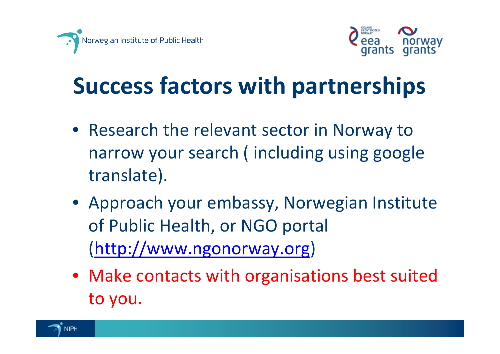



## **Success factors with partnerships**

- Research the relevant sector in Norway to narrow your search ( including using google translate).
- Approach your embassy, Norwegian Institute of Public Health, or NGO portal (http://www.ngonorway.org)
- Make contacts with organisations best suited to you.

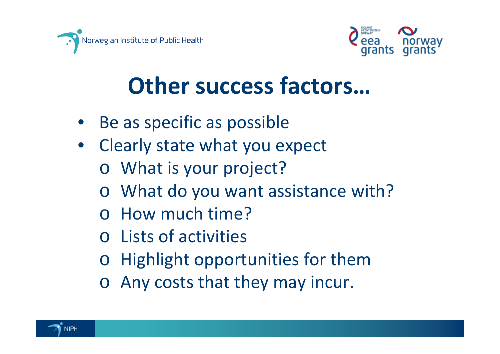



### **Other success factors…**

- •• Be as specific as possible
- $\bullet$  Clearly state what you expect
	- o What is your project?
	- o What do you want assistance with?
	- o How much time?
	- o Lists of activities
	- oHighlight opportunities for them
	- o Any costs that they may incur.